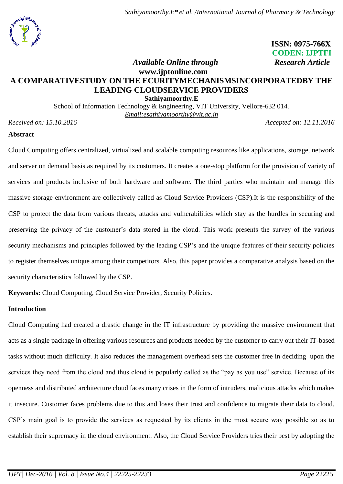

 **ISSN: 0975-766X CODEN: IJPTFI** *Available Online through* Research Article

# **www.ijptonline.com A COMPARATIVESTUDY ON THE ECURITYMECHANISMSINCORPORATEDBY THE LEADING CLOUDSERVICE PROVIDERS Sathiyamoorthy.E**

School of Information Technology & Engineering, VIT University, Vellore-632 014. *Email:esathiyamoorthy@vit.ac.in* 

*Received on: 15.10.2016 Accepted on: 12.11.2016*

# **Abstract**

Cloud Computing offers centralized, virtualized and scalable computing resources like applications, storage, network and server on demand basis as required by its customers. It creates a one-stop platform for the provision of variety of services and products inclusive of both hardware and software. The third parties who maintain and manage this massive storage environment are collectively called as Cloud Service Providers (CSP).It is the responsibility of the CSP to protect the data from various threats, attacks and vulnerabilities which stay as the hurdles in securing and preserving the privacy of the customer's data stored in the cloud. This work presents the survey of the various security mechanisms and principles followed by the leading CSP's and the unique features of their security policies to register themselves unique among their competitors. Also, this paper provides a comparative analysis based on the security characteristics followed by the CSP.

**Keywords:** Cloud Computing, Cloud Service Provider, Security Policies.

# **Introduction**

Cloud Computing had created a drastic change in the IT infrastructure by providing the massive environment that acts as a single package in offering various resources and products needed by the customer to carry out their IT-based tasks without much difficulty. It also reduces the management overhead sets the customer free in deciding upon the services they need from the cloud and thus cloud is popularly called as the "pay as you use" service. Because of its openness and distributed architecture cloud faces many crises in the form of intruders, malicious attacks which makes it insecure. Customer faces problems due to this and loses their trust and confidence to migrate their data to cloud. CSP's main goal is to provide the services as requested by its clients in the most secure way possible so as to establish their supremacy in the cloud environment. Also, the Cloud Service Providers tries their best by adopting the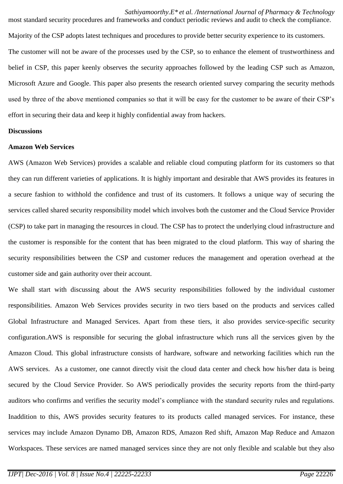most standard security procedures and frameworks and conduct periodic reviews and audit to check the compliance. Majority of the CSP adopts latest techniques and procedures to provide better security experience to its customers. The customer will not be aware of the processes used by the CSP, so to enhance the element of trustworthiness and belief in CSP, this paper keenly observes the security approaches followed by the leading CSP such as Amazon, Microsoft Azure and Google. This paper also presents the research oriented survey comparing the security methods used by three of the above mentioned companies so that it will be easy for the customer to be aware of their CSP's effort in securing their data and keep it highly confidential away from hackers.

#### **Discussions**

#### **Amazon Web Services**

AWS (Amazon Web Services) provides a scalable and reliable cloud computing platform for its customers so that they can run different varieties of applications. It is highly important and desirable that AWS provides its features in a secure fashion to withhold the confidence and trust of its customers. It follows a unique way of securing the services called shared security responsibility model which involves both the customer and the Cloud Service Provider (CSP) to take part in managing the resources in cloud. The CSP has to protect the underlying cloud infrastructure and the customer is responsible for the content that has been migrated to the cloud platform. This way of sharing the security responsibilities between the CSP and customer reduces the management and operation overhead at the customer side and gain authority over their account.

We shall start with discussing about the AWS security responsibilities followed by the individual customer responsibilities. Amazon Web Services provides security in two tiers based on the products and services called Global Infrastructure and Managed Services. Apart from these tiers, it also provides service-specific security configuration.AWS is responsible for securing the global infrastructure which runs all the services given by the Amazon Cloud. This global infrastructure consists of hardware, software and networking facilities which run the AWS services. As a customer, one cannot directly visit the cloud data center and check how his/her data is being secured by the Cloud Service Provider. So AWS periodically provides the security reports from the third-party auditors who confirms and verifies the security model's compliance with the standard security rules and regulations. Inaddition to this, AWS provides security features to its products called managed services. For instance, these services may include Amazon Dynamo DB, Amazon RDS, Amazon Red shift, Amazon Map Reduce and Amazon Workspaces. These services are named managed services since they are not only flexible and scalable but they also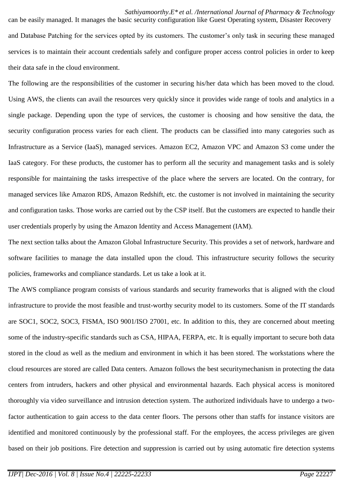can be easily managed. It manages the basic security configuration like Guest Operating system, Disaster Recovery and Database Patching for the services opted by its customers. The customer's only task in securing these managed services is to maintain their account credentials safely and configure proper access control policies in order to keep their data safe in the cloud environment.

The following are the responsibilities of the customer in securing his/her data which has been moved to the cloud. Using AWS, the clients can avail the resources very quickly since it provides wide range of tools and analytics in a single package. Depending upon the type of services, the customer is choosing and how sensitive the data, the security configuration process varies for each client. The products can be classified into many categories such as Infrastructure as a Service (IaaS), managed services. Amazon EC2, Amazon VPC and Amazon S3 come under the IaaS category. For these products, the customer has to perform all the security and management tasks and is solely responsible for maintaining the tasks irrespective of the place where the servers are located. On the contrary, for managed services like Amazon RDS, Amazon Redshift, etc. the customer is not involved in maintaining the security and configuration tasks. Those works are carried out by the CSP itself. But the customers are expected to handle their user credentials properly by using the Amazon Identity and Access Management (IAM).

The next section talks about the Amazon Global Infrastructure Security. This provides a set of network, hardware and software facilities to manage the data installed upon the cloud. This infrastructure security follows the security policies, frameworks and compliance standards. Let us take a look at it.

The AWS compliance program consists of various standards and security frameworks that is aligned with the cloud infrastructure to provide the most feasible and trust-worthy security model to its customers. Some of the IT standards are SOC1, SOC2, SOC3, FISMA, ISO 9001/ISO 27001, etc. In addition to this, they are concerned about meeting some of the industry-specific standards such as CSA, HIPAA, FERPA, etc. It is equally important to secure both data stored in the cloud as well as the medium and environment in which it has been stored. The workstations where the cloud resources are stored are called Data centers. Amazon follows the best securitymechanism in protecting the data centers from intruders, hackers and other physical and environmental hazards. Each physical access is monitored thoroughly via video surveillance and intrusion detection system. The authorized individuals have to undergo a twofactor authentication to gain access to the data center floors. The persons other than staffs for instance visitors are identified and monitored continuously by the professional staff. For the employees, the access privileges are given based on their job positions. Fire detection and suppression is carried out by using automatic fire detection systems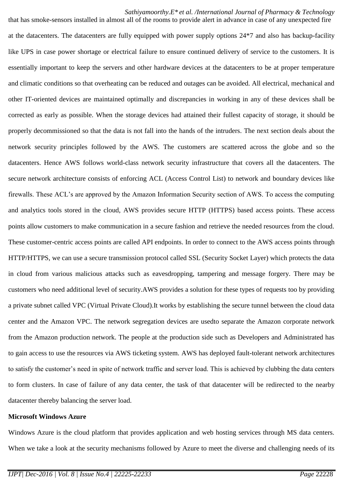that has smoke-sensors installed in almost all of the rooms to provide alert in advance in case of any unexpected fire at the datacenters. The datacenters are fully equipped with power supply options 24\*7 and also has backup-facility like UPS in case power shortage or electrical failure to ensure continued delivery of service to the customers. It is essentially important to keep the servers and other hardware devices at the datacenters to be at proper temperature and climatic conditions so that overheating can be reduced and outages can be avoided. All electrical, mechanical and other IT-oriented devices are maintained optimally and discrepancies in working in any of these devices shall be corrected as early as possible. When the storage devices had attained their fullest capacity of storage, it should be properly decommissioned so that the data is not fall into the hands of the intruders. The next section deals about the network security principles followed by the AWS. The customers are scattered across the globe and so the datacenters. Hence AWS follows world-class network security infrastructure that covers all the datacenters. The secure network architecture consists of enforcing ACL (Access Control List) to network and boundary devices like firewalls. These ACL's are approved by the Amazon Information Security section of AWS. To access the computing and analytics tools stored in the cloud, AWS provides secure HTTP (HTTPS) based access points. These access points allow customers to make communication in a secure fashion and retrieve the needed resources from the cloud. These customer-centric access points are called API endpoints. In order to connect to the AWS access points through HTTP/HTTPS, we can use a secure transmission protocol called SSL (Security Socket Layer) which protects the data in cloud from various malicious attacks such as eavesdropping, tampering and message forgery. There may be customers who need additional level of security.AWS provides a solution for these types of requests too by providing a private subnet called VPC (Virtual Private Cloud).It works by establishing the secure tunnel between the cloud data center and the Amazon VPC. The network segregation devices are usedto separate the Amazon corporate network from the Amazon production network. The people at the production side such as Developers and Administrated has to gain access to use the resources via AWS ticketing system. AWS has deployed fault-tolerant network architectures to satisfy the customer's need in spite of network traffic and server load. This is achieved by clubbing the data centers to form clusters. In case of failure of any data center, the task of that datacenter will be redirected to the nearby datacenter thereby balancing the server load.

### **Microsoft Windows Azure**

Windows Azure is the cloud platform that provides application and web hosting services through MS data centers. When we take a look at the security mechanisms followed by Azure to meet the diverse and challenging needs of its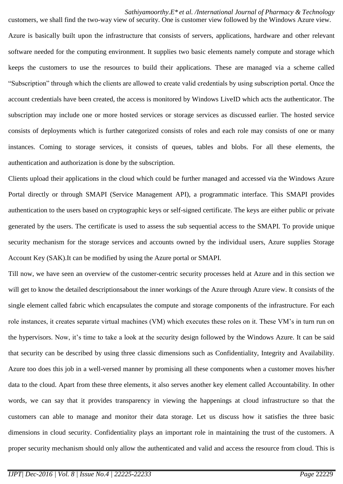customers, we shall find the two-way view of security. One is customer view followed by the Windows Azure view. Azure is basically built upon the infrastructure that consists of servers, applications, hardware and other relevant software needed for the computing environment. It supplies two basic elements namely compute and storage which keeps the customers to use the resources to build their applications. These are managed via a scheme called "Subscription" through which the clients are allowed to create valid credentials by using subscription portal. Once the account credentials have been created, the access is monitored by Windows LiveID which acts the authenticator. The subscription may include one or more hosted services or storage services as discussed earlier. The hosted service consists of deployments which is further categorized consists of roles and each role may consists of one or many instances. Coming to storage services, it consists of queues, tables and blobs. For all these elements, the authentication and authorization is done by the subscription.

Clients upload their applications in the cloud which could be further managed and accessed via the Windows Azure Portal directly or through SMAPI (Service Management API), a programmatic interface. This SMAPI provides authentication to the users based on cryptographic keys or self-signed certificate. The keys are either public or private generated by the users. The certificate is used to assess the sub sequential access to the SMAPI. To provide unique security mechanism for the storage services and accounts owned by the individual users, Azure supplies Storage Account Key (SAK).It can be modified by using the Azure portal or SMAPI.

Till now, we have seen an overview of the customer-centric security processes held at Azure and in this section we will get to know the detailed descriptionsabout the inner workings of the Azure through Azure view. It consists of the single element called fabric which encapsulates the compute and storage components of the infrastructure. For each role instances, it creates separate virtual machines (VM) which executes these roles on it. These VM's in turn run on the hypervisors. Now, it's time to take a look at the security design followed by the Windows Azure. It can be said that security can be described by using three classic dimensions such as Confidentiality, Integrity and Availability. Azure too does this job in a well-versed manner by promising all these components when a customer moves his/her data to the cloud. Apart from these three elements, it also serves another key element called Accountability. In other words, we can say that it provides transparency in viewing the happenings at cloud infrastructure so that the customers can able to manage and monitor their data storage. Let us discuss how it satisfies the three basic dimensions in cloud security. Confidentiality plays an important role in maintaining the trust of the customers. A proper security mechanism should only allow the authenticated and valid and access the resource from cloud. This is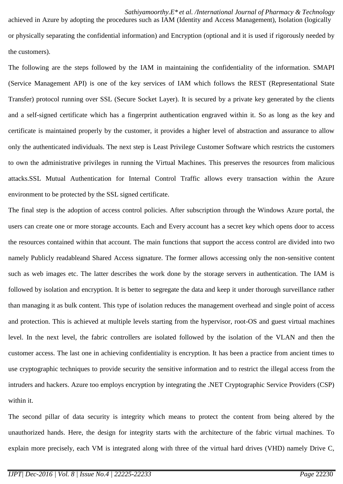achieved in Azure by adopting the procedures such as IAM (Identity and Access Management), Isolation (logically or physically separating the confidential information) and Encryption (optional and it is used if rigorously needed by the customers).

The following are the steps followed by the IAM in maintaining the confidentiality of the information. SMAPI (Service Management API) is one of the key services of IAM which follows the REST (Representational State Transfer) protocol running over SSL (Secure Socket Layer). It is secured by a private key generated by the clients and a self-signed certificate which has a fingerprint authentication engraved within it. So as long as the key and certificate is maintained properly by the customer, it provides a higher level of abstraction and assurance to allow only the authenticated individuals. The next step is Least Privilege Customer Software which restricts the customers to own the administrative privileges in running the Virtual Machines. This preserves the resources from malicious attacks.SSL Mutual Authentication for Internal Control Traffic allows every transaction within the Azure environment to be protected by the SSL signed certificate.

The final step is the adoption of access control policies. After subscription through the Windows Azure portal, the users can create one or more storage accounts. Each and Every account has a secret key which opens door to access the resources contained within that account. The main functions that support the access control are divided into two namely Publicly readableand Shared Access signature. The former allows accessing only the non-sensitive content such as web images etc. The latter describes the work done by the storage servers in authentication. The IAM is followed by isolation and encryption. It is better to segregate the data and keep it under thorough surveillance rather than managing it as bulk content. This type of isolation reduces the management overhead and single point of access and protection. This is achieved at multiple levels starting from the hypervisor, root-OS and guest virtual machines level. In the next level, the fabric controllers are isolated followed by the isolation of the VLAN and then the customer access. The last one in achieving confidentiality is encryption. It has been a practice from ancient times to use cryptographic techniques to provide security the sensitive information and to restrict the illegal access from the intruders and hackers. Azure too employs encryption by integrating the .NET Cryptographic Service Providers (CSP) within it.

The second pillar of data security is integrity which means to protect the content from being altered by the unauthorized hands. Here, the design for integrity starts with the architecture of the fabric virtual machines. To explain more precisely, each VM is integrated along with three of the virtual hard drives (VHD) namely Drive C,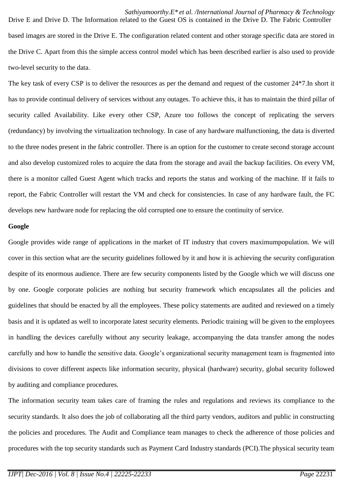Drive E and Drive D. The Information related to the Guest OS is contained in the Drive D. The Fabric Controller based images are stored in the Drive E. The configuration related content and other storage specific data are stored in the Drive C. Apart from this the simple access control model which has been described earlier is also used to provide two-level security to the data.

The key task of every CSP is to deliver the resources as per the demand and request of the customer 24\*7.In short it has to provide continual delivery of services without any outages. To achieve this, it has to maintain the third pillar of security called Availability. Like every other CSP, Azure too follows the concept of replicating the servers (redundancy) by involving the virtualization technology. In case of any hardware malfunctioning, the data is diverted to the three nodes present in the fabric controller. There is an option for the customer to create second storage account and also develop customized roles to acquire the data from the storage and avail the backup facilities. On every VM, there is a monitor called Guest Agent which tracks and reports the status and working of the machine. If it fails to report, the Fabric Controller will restart the VM and check for consistencies. In case of any hardware fault, the FC develops new hardware node for replacing the old corrupted one to ensure the continuity of service.

# **Google**

Google provides wide range of applications in the market of IT industry that covers maximumpopulation. We will cover in this section what are the security guidelines followed by it and how it is achieving the security configuration despite of its enormous audience. There are few security components listed by the Google which we will discuss one by one. Google corporate policies are nothing but security framework which encapsulates all the policies and guidelines that should be enacted by all the employees. These policy statements are audited and reviewed on a timely basis and it is updated as well to incorporate latest security elements. Periodic training will be given to the employees in handling the devices carefully without any security leakage, accompanying the data transfer among the nodes carefully and how to handle the sensitive data. Google's organizational security management team is fragmented into divisions to cover different aspects like information security, physical (hardware) security, global security followed by auditing and compliance procedures.

The information security team takes care of framing the rules and regulations and reviews its compliance to the security standards. It also does the job of collaborating all the third party vendors, auditors and public in constructing the policies and procedures. The Audit and Compliance team manages to check the adherence of those policies and procedures with the top security standards such as Payment Card Industry standards (PCI).The physical security team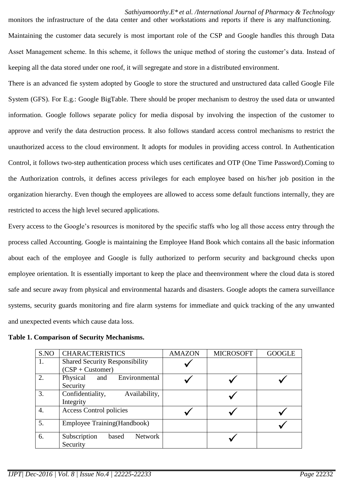monitors the infrastructure of the data center and other workstations and reports if there is any malfunctioning. Maintaining the customer data securely is most important role of the CSP and Google handles this through Data Asset Management scheme. In this scheme, it follows the unique method of storing the customer's data. Instead of keeping all the data stored under one roof, it will segregate and store in a distributed environment.

There is an advanced fie system adopted by Google to store the structured and unstructured data called Google File System (GFS). For E.g.: Google BigTable. There should be proper mechanism to destroy the used data or unwanted information. Google follows separate policy for media disposal by involving the inspection of the customer to approve and verify the data destruction process. It also follows standard access control mechanisms to restrict the unauthorized access to the cloud environment. It adopts for modules in providing access control. In Authentication Control, it follows two-step authentication process which uses certificates and OTP (One Time Password).Coming to the Authorization controls, it defines access privileges for each employee based on his/her job position in the organization hierarchy. Even though the employees are allowed to access some default functions internally, they are restricted to access the high level secured applications.

Every access to the Google's resources is monitored by the specific staffs who log all those access entry through the process called Accounting. Google is maintaining the Employee Hand Book which contains all the basic information about each of the employee and Google is fully authorized to perform security and background checks upon employee orientation. It is essentially important to keep the place and theenvironment where the cloud data is stored safe and secure away from physical and environmental hazards and disasters. Google adopts the camera surveillance systems, security guards monitoring and fire alarm systems for immediate and quick tracking of the any unwanted and unexpected events which cause data loss.

| S.NO             | <b>CHARACTERISTICS</b>                                      | <b>AMAZON</b> | <b>MICROSOFT</b> | <b>GOOGLE</b> |
|------------------|-------------------------------------------------------------|---------------|------------------|---------------|
| 1.               | <b>Shared Security Responsibility</b><br>$(CSP + Customer)$ |               |                  |               |
| 2.               | Physical<br>Environmental<br>and<br>Security                |               |                  |               |
| 3.               | Confidentiality,<br>Availability,<br>Integrity              |               |                  |               |
| $\overline{4}$ . | <b>Access Control policies</b>                              |               |                  |               |
| 5.               | Employee Training (Handbook)                                |               |                  |               |
| 6.               | Subscription<br><b>Network</b><br>based<br>Security         |               |                  |               |

### **Table 1. Comparison of Security Mechanisms.**